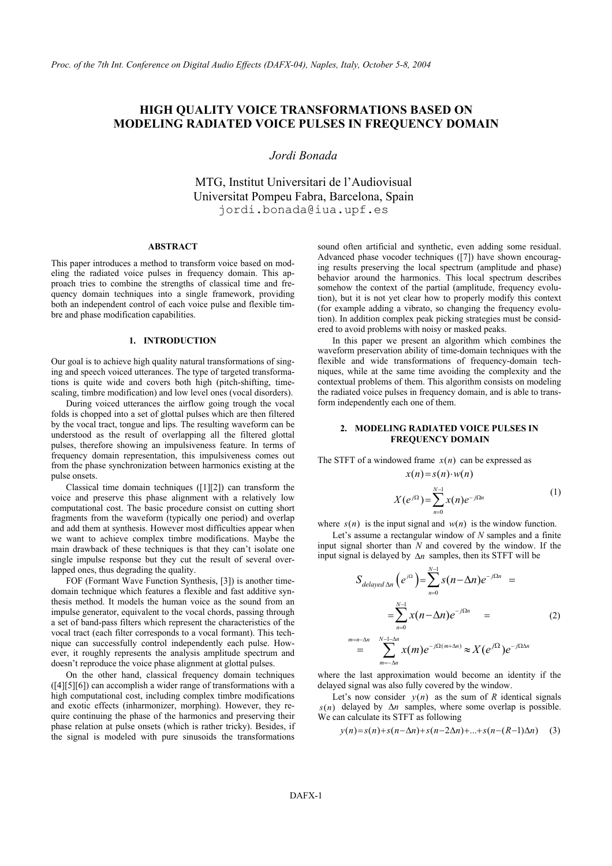# **HIGH QUALITY VOICE TRANSFORMATIONS BASED ON MODELING RADIATED VOICE PULSES IN FREQUENCY DOMAIN**

*Jordi Bonada* 

MTG, Institut Universitari de l'Audiovisual Universitat Pompeu Fabra, Barcelona, Spain jordi.bonada@iua.upf.es

## **ABSTRACT**

This paper introduces a method to transform voice based on modeling the radiated voice pulses in frequency domain. This approach tries to combine the strengths of classical time and frequency domain techniques into a single framework, providing both an independent control of each voice pulse and flexible timbre and phase modification capabilities.

## **1. INTRODUCTION**

Our goal is to achieve high quality natural transformations of singing and speech voiced utterances. The type of targeted transformations is quite wide and covers both high (pitch-shifting, timescaling, timbre modification) and low level ones (vocal disorders).

During voiced utterances the airflow going trough the vocal folds is chopped into a set of glottal pulses which are then filtered by the vocal tract, tongue and lips. The resulting waveform can be understood as the result of overlapping all the filtered glottal pulses, therefore showing an impulsiveness feature. In terms of frequency domain representation, this impulsiveness comes out from the phase synchronization between harmonics existing at the pulse onsets.

Classical time domain techniques ([1][2]) can transform the voice and preserve this phase alignment with a relatively low computational cost. The basic procedure consist on cutting short fragments from the waveform (typically one period) and overlap and add them at synthesis. However most difficulties appear when we want to achieve complex timbre modifications. Maybe the main drawback of these techniques is that they can't isolate one single impulse response but they cut the result of several overlapped ones, thus degrading the quality.

FOF (Formant Wave Function Synthesis, [3]) is another timedomain technique which features a flexible and fast additive synthesis method. It models the human voice as the sound from an impulse generator, equivalent to the vocal chords, passing through a set of band-pass filters which represent the characteristics of the vocal tract (each filter corresponds to a vocal formant). This technique can successfully control independently each pulse. However, it roughly represents the analysis amplitude spectrum and doesn't reproduce the voice phase alignment at glottal pulses.

On the other hand, classical frequency domain techniques ([4][5][6]) can accomplish a wider range of transformations with a high computational cost, including complex timbre modifications and exotic effects (inharmonizer, morphing). However, they require continuing the phase of the harmonics and preserving their phase relation at pulse onsets (which is rather tricky). Besides, if the signal is modeled with pure sinusoids the transformations sound often artificial and synthetic, even adding some residual. Advanced phase vocoder techniques ([7]) have shown encouraging results preserving the local spectrum (amplitude and phase) behavior around the harmonics. This local spectrum describes somehow the context of the partial (amplitude, frequency evolution), but it is not yet clear how to properly modify this context (for example adding a vibrato, so changing the frequency evolution). In addition complex peak picking strategies must be considered to avoid problems with noisy or masked peaks.

In this paper we present an algorithm which combines the waveform preservation ability of time-domain techniques with the flexible and wide transformations of frequency-domain techniques, while at the same time avoiding the complexity and the contextual problems of them. This algorithm consists on modeling the radiated voice pulses in frequency domain, and is able to transform independently each one of them.

# **2. MODELING RADIATED VOICE PULSES IN FREQUENCY DOMAIN**

The STFT of a windowed frame  $x(n)$  can be expressed as

$$
x(n) = s(n) \cdot w(n)
$$
  

$$
X(e^{j\Omega}) = \sum_{n=0}^{N-1} x(n)e^{-j\Omega n}
$$
 (1)

where  $s(n)$  is the input signal and  $w(n)$  is the window function.

Let's assume a rectangular window of *N* samples and a finite input signal shorter than *N* and covered by the window. If the input signal is delayed by ∆*n* samples, then its STFT will be

$$
S_{delayed \Delta n} (e^{j\Omega}) = \sum_{n=0}^{N-1} s(n - \Delta n) e^{-j\Omega n} =
$$
  

$$
= \sum_{n=0}^{N-1} x(n - \Delta n) e^{-j\Omega n} =
$$
  

$$
= \sum_{m=-\Delta n}^{N-1-\Delta n} x(m) e^{-j\Omega(m+\Delta n)} \approx X(e^{j\Omega}) e^{-j\Omega\Delta n}
$$
 (2)

where the last approximation would become an identity if the delayed signal was also fully covered by the window.

Let's now consider  $y(n)$  as the sum of *R* identical signals  $s(n)$  delayed by  $\Delta n$  samples, where some overlap is possible. We can calculate its STFT as following

$$
y(n) = s(n) + s(n - \Delta n) + s(n - 2\Delta n) + ... + s(n - (R - 1)\Delta n)
$$
 (3)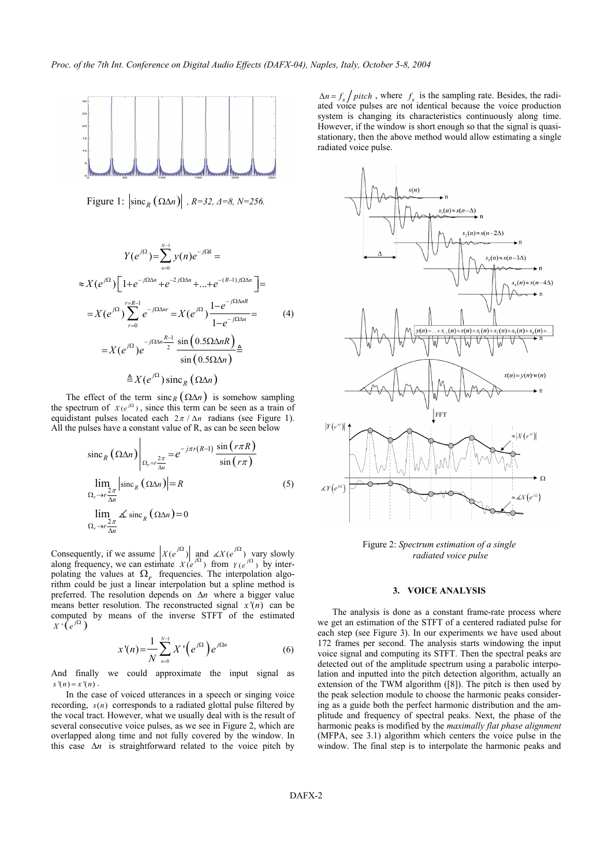

Figure 1:  $\left| \text{sinc}_R (\Omega \Delta n) \right|$ ,  $R=32, \Delta=8, N=256$ .

$$
Y(e^{j\Omega}) = \sum_{n=0}^{N-1} y(n)e^{-j\Omega k} =
$$
  
\n
$$
\approx X(e^{j\Omega}) \Big[ 1 + e^{-j\Omega \Delta n} + e^{-2j\Omega \Delta n} + ... + e^{-(R-1)j\Omega \Delta n} \Big] =
$$
  
\n
$$
= X(e^{j\Omega}) \sum_{r=0}^{r=R-1} e^{-j\Omega \Delta n r} = X(e^{j\Omega}) \frac{1 - e^{-j\Omega \Delta n R}}{1 - e^{-j\Omega \Delta n}} =
$$
  
\n
$$
= X(e^{j\Omega}) e^{-j\Omega \Delta n \frac{R-1}{2}} \frac{\sin(0.5\Omega \Delta n R)}{\sin(0.5\Omega \Delta n)} \triangleq
$$
  
\n
$$
\triangleq X(e^{j\Omega}) \operatorname{sinc}_R(\Omega \Delta n)
$$

The effect of the term sinc<sub>*R*</sub> ( $\Omega \Delta n$ ) is somehow sampling the spectrum of  $X(e^{j\Omega})$ , since this term can be seen as a train of equidistant pulses located each  $2\pi / \Delta n$  radians (see Figure 1). All the pulses have a constant value of R, as can be seen below

$$
\sin c_R (\Omega \Delta n) \Big|_{\Omega_r = r \frac{2\pi}{\Delta n}} = e^{-j\pi r (R-1)} \frac{\sin (r\pi R)}{\sin (r\pi)}
$$
  
\n
$$
\lim_{\Omega_r \to r \frac{2\pi}{\Delta n}} \left| \sin c_R (\Omega \Delta n) \right| = R
$$
\n(5)  
\n
$$
\lim_{\Omega_r \to r \frac{2\pi}{\Delta n}} \measuredangle \sin c_R (\Omega \Delta n) = 0
$$

Consequently, if we assume  $| X(e^{j\Omega}) |$  and  $\angle X(e^{j\Omega})$  vary slowly along frequency, we can estimate  $X(e^{j\Omega})$  from  $Y(e^{j\Omega})$  by interpolating the values at  $\Omega_r$  frequencies. The interpolation algorithm could be just a linear interpolation but a spline method is preferred. The resolution depends on ∆*n* where a bigger value means better resolution. The reconstructed signal  $x'(n)$  can be computed by means of the inverse STFT of the estimated  $X \cdot (e^{j\Omega})$ 

$$
x'(n) = \frac{1}{N} \sum_{n=0}^{N-1} X'\left(e^{j\Omega}\right) e^{j\Omega n} \tag{6}
$$

And finally we could approximate the input signal as  $s'(n) = x'(n)$ .

In the case of voiced utterances in a speech or singing voice recording,  $s(n)$  corresponds to a radiated glottal pulse filtered by the vocal tract. However, what we usually deal with is the result of several consecutive voice pulses, as we see in Figure 2, which are overlapped along time and not fully covered by the window. In this case ∆*n* is straightforward related to the voice pitch by

 $\Delta n = f_s / pitch$ , where  $f_s$  is the sampling rate. Besides, the radi-<br>ated voice pulses are not identical because the voice production system is changing its characteristics continuously along time. However, if the window is short enough so that the signal is quasistationary, then the above method would allow estimating a single radiated voice pulse.



Figure 2: *Spectrum estimation of a single radiated voice pulse*

## **3. VOICE ANALYSIS**

The analysis is done as a constant frame-rate process where we get an estimation of the STFT of a centered radiated pulse for each step (see Figure 3). In our experiments we have used about 172 frames per second. The analysis starts windowing the input voice signal and computing its STFT. Then the spectral peaks are detected out of the amplitude spectrum using a parabolic interpolation and inputted into the pitch detection algorithm, actually an extension of the TWM algorithm ([8]). The pitch is then used by the peak selection module to choose the harmonic peaks considering as a guide both the perfect harmonic distribution and the amplitude and frequency of spectral peaks. Next, the phase of the harmonic peaks is modified by the *maximally flat phase alignment*  (MFPA, see 3.1) algorithm which centers the voice pulse in the window. The final step is to interpolate the harmonic peaks and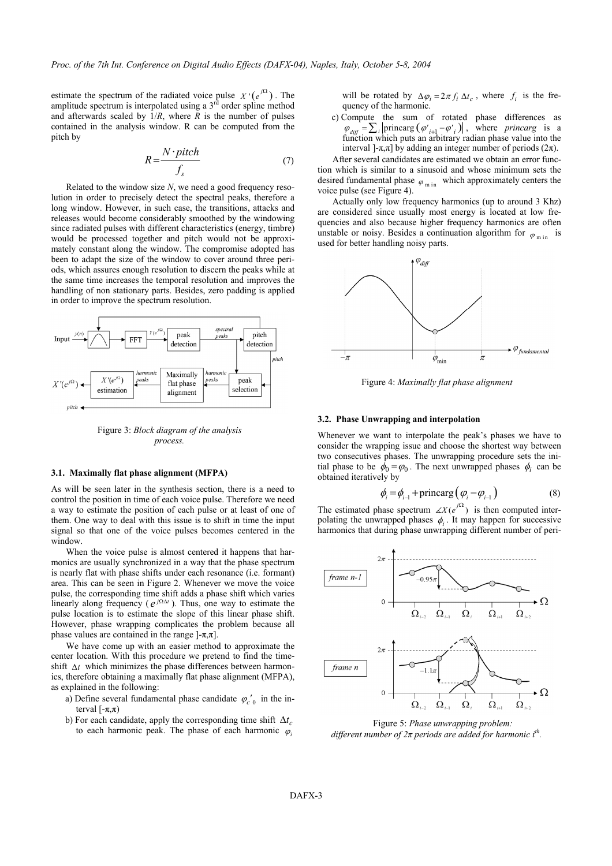estimate the spectrum of the radiated voice pulse  $X' (e^{j\Omega})$ . The amplitude spectrum is interpolated using a  $3<sup>rd</sup>$  order spline method and afterwards scaled by  $1/R$ , where  $R$  is the number of pulses contained in the analysis window. R can be computed from the pitch by

$$
R = \frac{N \cdot pitch}{f_s} \tag{7}
$$

Related to the window size *N*, we need a good frequency resolution in order to precisely detect the spectral peaks, therefore a long window. However, in such case, the transitions, attacks and releases would become considerably smoothed by the windowing since radiated pulses with different characteristics (energy, timbre) would be processed together and pitch would not be approximately constant along the window. The compromise adopted has been to adapt the size of the window to cover around three periods, which assures enough resolution to discern the peaks while at the same time increases the temporal resolution and improves the handling of non stationary parts. Besides, zero padding is applied in order to improve the spectrum resolution.



Figure 3: *Block diagram of the analysis process.* 

#### **3.1. Maximally flat phase alignment (MFPA)**

As will be seen later in the synthesis section, there is a need to control the position in time of each voice pulse. Therefore we need a way to estimate the position of each pulse or at least of one of them. One way to deal with this issue is to shift in time the input signal so that one of the voice pulses becomes centered in the window.

When the voice pulse is almost centered it happens that harmonics are usually synchronized in a way that the phase spectrum is nearly flat with phase shifts under each resonance (i.e. formant) area. This can be seen in Figure 2. Whenever we move the voice pulse, the corresponding time shift adds a phase shift which varies linearly along frequency ( $e^{j\Omega \Delta t}$ ). Thus, one way to estimate the pulse location is to estimate the slope of this linear phase shift. However, phase wrapping complicates the problem because all phase values are contained in the range  $[-\pi,\pi]$ .

We have come up with an easier method to approximate the center location. With this procedure we pretend to find the timeshift ∆*t* which minimizes the phase differences between harmonics, therefore obtaining a maximally flat phase alignment (MFPA), as explained in the following:

- a) Define several fundamental phase candidate  $\varphi_{c}^{\prime}{}_{0}$  in the interval  $[-π,π)$
- b) For each candidate, apply the corresponding time shift  $\Delta t_c$ to each harmonic peak. The phase of each harmonic  $\varphi_i$

will be rotated by  $\Delta \varphi_i = 2\pi f_i \Delta t_c$ , where  $f_i$  is the frequency of the harmonic.

c) Compute the sum of rotated phase differences as  $\varphi_{diff} = \sum_{i}$  | princarg  $(\varphi'_{i+1} - \varphi'_{i})$  |, where *princarg* is a function which puts an arbitrary radian phase value into the interval ]- $π, π$ ] by adding an integer number of periods ( $2π$ ).

After several candidates are estimated we obtain an error function which is similar to a sinusoid and whose minimum sets the desired fundamental phase  $\varphi$ <sub>m in</sub> which approximately centers the voice pulse (see Figure 4).

Actually only low frequency harmonics (up to around 3 Khz) are considered since usually most energy is located at low frequencies and also because higher frequency harmonics are often unstable or noisy. Besides a continuation algorithm for  $\varphi_{\min}$  is used for better handling noisy parts.



Figure 4: *Maximally flat phase alignment* 

#### **3.2. Phase Unwrapping and interpolation**

Whenever we want to interpolate the peak's phases we have to consider the wrapping issue and choose the shortest way between two consecutives phases. The unwrapping procedure sets the initial phase to be  $\phi_0 = \varphi_0$ . The next unwrapped phases  $\phi_i$  can be obtained iteratively by

$$
\phi_i = \phi_{i-1} + \text{princarg}\left(\phi_i - \phi_{i-1}\right) \tag{8}
$$

The estimated phase spectrum  $\angle X(e^{j\Omega})$  is then computed interpolating the unwrapped phases  $\phi_i$ . It may happen for successive harmonics that during phase unwrapping different number of peri-



Figure 5: *Phase unwrapping problem: different number of*  $2π$  *periods are added for harmonic i<sup>th</sup>.*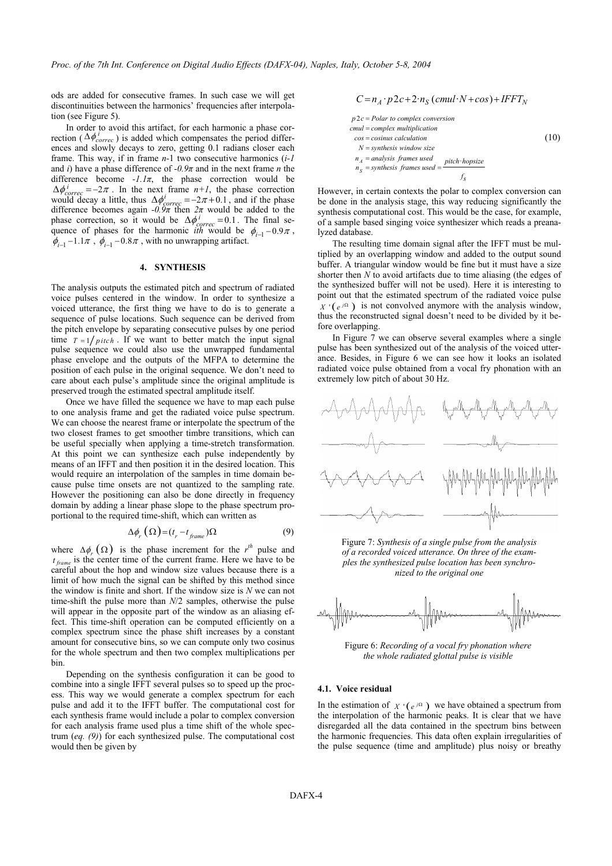ods are added for consecutive frames. In such case we will get discontinuities between the harmonics' frequencies after interpolation (see Figure 5).

In order to avoid this artifact, for each harmonic a phase correction ( $\Delta \phi_{correc}^{i}$ ) is added which compensates the period differences and slowly decays to zero, getting 0.1 radians closer each frame. This way, if in frame *n-*1 two consecutive harmonics (*i-1*  and *i*) have a phase difference of *-0.9π* and in the next frame *n* the difference become  $-I.1\pi$ , the phase correction would be  $\Delta \phi_{correc}^i = -2\pi$ . In the next frame  $n+1$ , the phase correction<br>would decay a little, thus  $\Delta \phi_{correc}^i = -2\pi + 0.1$ , and if the phase<br>difference becomes again -0.9 $\pi$  then  $2\pi$  would be added to the phase correction, so it would be  $\Delta \phi_{\text{correct}}^i = 0.1$ . The final sequence of phases for the harmonic *ith* would be  $\phi_{i-1} - 0.9\pi$ ,  $\phi_{i-1}$  –1.1 $\pi$ ,  $\phi_{i-1}$  –0.8 $\pi$ , with no unwrapping artifact.

## **4. SYNTHESIS**

The analysis outputs the estimated pitch and spectrum of radiated voice pulses centered in the window. In order to synthesize a voiced utterance, the first thing we have to do is to generate a sequence of pulse locations. Such sequence can be derived from the pitch envelope by separating consecutive pulses by one period time  $T = 1 / pitch$ . If we want to better match the input signal pulse sequence we could also use the unwrapped fundamental phase envelope and the outputs of the MFPA to determine the position of each pulse in the original sequence. We don't need to care about each pulse's amplitude since the original amplitude is preserved trough the estimated spectral amplitude itself.

Once we have filled the sequence we have to map each pulse to one analysis frame and get the radiated voice pulse spectrum. We can choose the nearest frame or interpolate the spectrum of the two closest frames to get smoother timbre transitions, which can be useful specially when applying a time-stretch transformation. At this point we can synthesize each pulse independently by means of an IFFT and then position it in the desired location. This would require an interpolation of the samples in time domain because pulse time onsets are not quantized to the sampling rate. However the positioning can also be done directly in frequency domain by adding a linear phase slope to the phase spectrum proportional to the required time-shift, which can written as

$$
\Delta \phi_r \left( \Omega \right) = \left( t_r - t_{frame} \right) \Omega \tag{9}
$$

where  $\Delta \phi_r(\Omega)$  is the phase increment for the *r<sup>th</sup>* pulse and  $t_{frame}$  is the center time of the current frame. Here we have to be careful about the hop and window size values because there is a limit of how much the signal can be shifted by this method since the window is finite and short. If the window size is *N* we can not time-shift the pulse more than *N*/2 samples, otherwise the pulse will appear in the opposite part of the window as an aliasing effect. This time-shift operation can be computed efficiently on a complex spectrum since the phase shift increases by a constant amount for consecutive bins, so we can compute only two cosinus for the whole spectrum and then two complex multiplications per bin.

Depending on the synthesis configuration it can be good to combine into a single IFFT several pulses so to speed up the process. This way we would generate a complex spectrum for each pulse and add it to the IFFT buffer. The computational cost for each synthesis frame would include a polar to complex conversion for each analysis frame used plus a time shift of the whole spectrum (*eq. (9)*) for each synthesized pulse. The computational cost would then be given by

$$
C = n_A \cdot p2c + 2 \cdot n_S \left( \text{cmul·}N + \text{cos} \right) + IFFT_N
$$

$$
p2c = Polar\ to\ complex\ conversion
$$
  
\ncmul = complex multiplication  
\ncos = cosinus calculation  
\nN = synthesis window size  
\n $n_A$  = analysis frames used  
\n $n_S$  = synthesis frames used =  $\frac{pitch \; hopsize}{f_S}$ 

However, in certain contexts the polar to complex conversion can be done in the analysis stage, this way reducing significantly the synthesis computational cost. This would be the case, for example, of a sample based singing voice synthesizer which reads a preanalyzed database.

The resulting time domain signal after the IFFT must be multiplied by an overlapping window and added to the output sound buffer. A triangular window would be fine but it must have a size shorter then *N* to avoid artifacts due to time aliasing (the edges of the synthesized buffer will not be used). Here it is interesting to point out that the estimated spectrum of the radiated voice pulse  $X'(\epsilon^{i\Omega})$  is not convolved anymore with the analysis window, thus the reconstructed signal doesn't need to be divided by it before overlapping.

In Figure 7 we can observe several examples where a single pulse has been synthesized out of the analysis of the voiced utterance. Besides, in Figure 6 we can see how it looks an isolated radiated voice pulse obtained from a vocal fry phonation with an extremely low pitch of about 30 Hz.



Figure 7: *Synthesis of a single pulse from the analysis of a recorded voiced utterance. On three of the examples the synthesized pulse location has been synchronized to the original one* 



Figure 6: *Recording of a vocal fry phonation where the whole radiated glottal pulse is visible* 

## **4.1. Voice residual**

In the estimation of  $X \rvert (e^{j\Omega})$  we have obtained a spectrum from the interpolation of the harmonic peaks. It is clear that we have disregarded all the data contained in the spectrum bins between the harmonic frequencies. This data often explain irregularities of the pulse sequence (time and amplitude) plus noisy or breathy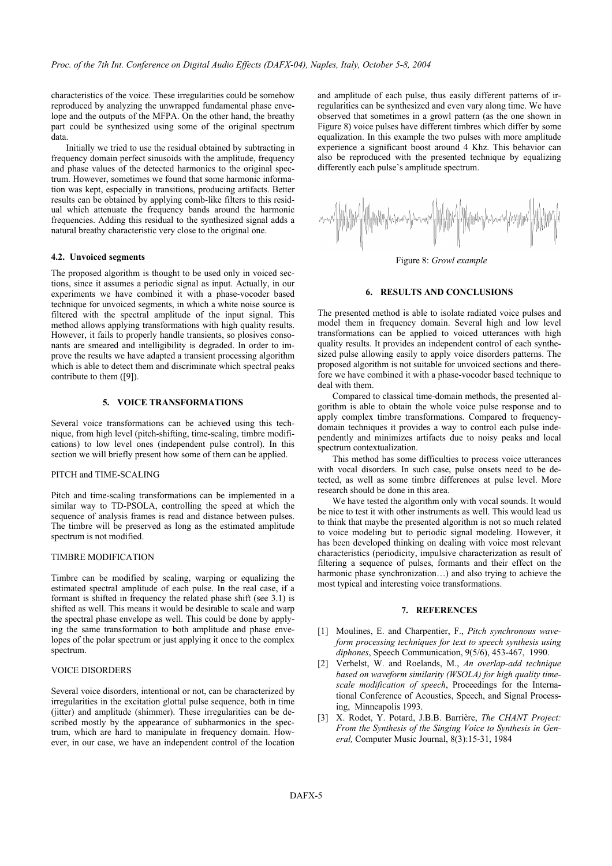characteristics of the voice. These irregularities could be somehow reproduced by analyzing the unwrapped fundamental phase envelope and the outputs of the MFPA. On the other hand, the breathy part could be synthesized using some of the original spectrum data.

Initially we tried to use the residual obtained by subtracting in frequency domain perfect sinusoids with the amplitude, frequency and phase values of the detected harmonics to the original spectrum. However, sometimes we found that some harmonic information was kept, especially in transitions, producing artifacts. Better results can be obtained by applying comb-like filters to this residual which attenuate the frequency bands around the harmonic frequencies. Adding this residual to the synthesized signal adds a natural breathy characteristic very close to the original one.

#### **4.2. Unvoiced segments**

The proposed algorithm is thought to be used only in voiced sections, since it assumes a periodic signal as input. Actually, in our experiments we have combined it with a phase-vocoder based technique for unvoiced segments, in which a white noise source is filtered with the spectral amplitude of the input signal. This method allows applying transformations with high quality results. However, it fails to properly handle transients, so plosives consonants are smeared and intelligibility is degraded. In order to improve the results we have adapted a transient processing algorithm which is able to detect them and discriminate which spectral peaks contribute to them ([9]).

# **5. VOICE TRANSFORMATIONS**

Several voice transformations can be achieved using this technique, from high level (pitch-shifting, time-scaling, timbre modifications) to low level ones (independent pulse control). In this section we will briefly present how some of them can be applied.

#### PITCH and TIME-SCALING

Pitch and time-scaling transformations can be implemented in a similar way to TD-PSOLA, controlling the speed at which the sequence of analysis frames is read and distance between pulses. The timbre will be preserved as long as the estimated amplitude spectrum is not modified.

## TIMBRE MODIFICATION

Timbre can be modified by scaling, warping or equalizing the estimated spectral amplitude of each pulse. In the real case, if a formant is shifted in frequency the related phase shift (see 3.1) is shifted as well. This means it would be desirable to scale and warp the spectral phase envelope as well. This could be done by applying the same transformation to both amplitude and phase envelopes of the polar spectrum or just applying it once to the complex spectrum.

# VOICE DISORDERS

Several voice disorders, intentional or not, can be characterized by irregularities in the excitation glottal pulse sequence, both in time (jitter) and amplitude (shimmer). These irregularities can be described mostly by the appearance of subharmonics in the spectrum, which are hard to manipulate in frequency domain. However, in our case, we have an independent control of the location and amplitude of each pulse, thus easily different patterns of irregularities can be synthesized and even vary along time. We have observed that sometimes in a growl pattern (as the one shown in Figure 8) voice pulses have different timbres which differ by some equalization. In this example the two pulses with more amplitude experience a significant boost around 4 Khz. This behavior can also be reproduced with the presented technique by equalizing differently each pulse's amplitude spectrum.



Figure 8: *Growl example* 

## **6. RESULTS AND CONCLUSIONS**

The presented method is able to isolate radiated voice pulses and model them in frequency domain. Several high and low level transformations can be applied to voiced utterances with high quality results. It provides an independent control of each synthesized pulse allowing easily to apply voice disorders patterns. The proposed algorithm is not suitable for unvoiced sections and therefore we have combined it with a phase-vocoder based technique to deal with them.

Compared to classical time-domain methods, the presented algorithm is able to obtain the whole voice pulse response and to apply complex timbre transformations. Compared to frequencydomain techniques it provides a way to control each pulse independently and minimizes artifacts due to noisy peaks and local spectrum contextualization.

This method has some difficulties to process voice utterances with vocal disorders. In such case, pulse onsets need to be detected, as well as some timbre differences at pulse level. More research should be done in this area.

We have tested the algorithm only with vocal sounds. It would be nice to test it with other instruments as well. This would lead us to think that maybe the presented algorithm is not so much related to voice modeling but to periodic signal modeling. However, it has been developed thinking on dealing with voice most relevant characteristics (periodicity, impulsive characterization as result of filtering a sequence of pulses, formants and their effect on the harmonic phase synchronization...) and also trying to achieve the most typical and interesting voice transformations.

## **7. REFERENCES**

- [1] Moulines, E. and Charpentier, F., *Pitch synchronous waveform processing techniques for text to speech synthesis using diphones*, Speech Communication, 9(5/6), 453-467, 1990.
- [2] Verhelst, W. and Roelands, M., *An overlap-add technique based on waveform similarity (WSOLA) for high quality timescale modification of speech*, Proceedings for the International Conference of Acoustics, Speech, and Signal Processing, Minneapolis 1993.
- [3] X. Rodet, Y. Potard, J.B.B. Barrière, *The CHANT Project: From the Synthesis of the Singing Voice to Synthesis in General,* Computer Music Journal, 8(3):15-31, 1984